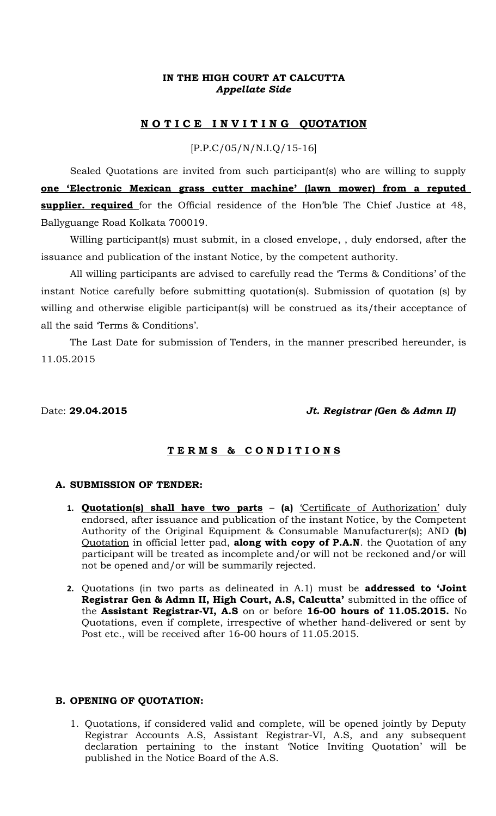# **IN THE HIGH COURT AT CALCUTTA** *Appellate Side*

# **N O T I C E I N V I T I N G QUOTATION**

[P.P.C/05/N/N.I.Q/15-16]

Sealed Quotations are invited from such participant(s) who are willing to supply **one 'Electronic Mexican grass cutter machine' (lawn mower) from a reputed supplier. required** for the Official residence of the Hon'ble The Chief Justice at 48, Ballyguange Road Kolkata 700019.

Willing participant(s) must submit, in a closed envelope, , duly endorsed, after the issuance and publication of the instant Notice, by the competent authority.

All willing participants are advised to carefully read the 'Terms & Conditions' of the instant Notice carefully before submitting quotation(s). Submission of quotation (s) by willing and otherwise eligible participant(s) will be construed as its/their acceptance of all the said 'Terms & Conditions'.

The Last Date for submission of Tenders, in the manner prescribed hereunder, is 11.05.2015

#### Date: **29.04.2015** *Jt. Registrar (Gen & Admn II)*

## **T E R M S & C O N D I T I O N S**

#### **A. SUBMISSION OF TENDER:**

- **1. Quotation(s) shall have two parts (a)** 'Certificate of Authorization' duly endorsed, after issuance and publication of the instant Notice, by the Competent Authority of the Original Equipment & Consumable Manufacturer(s); AND **(b)** Quotation in official letter pad, **along with copy of P.A.N**. the Quotation of any participant will be treated as incomplete and/or will not be reckoned and/or will not be opened and/or will be summarily rejected.
- **2.** Quotations (in two parts as delineated in A.1) must be **addressed to 'Joint Registrar Gen & Admn II, High Court, A.S, Calcutta'** submitted in the office of the **Assistant Registrar-VI, A.S** on or before **16-00 hours of 11.05.2015.** No Quotations, even if complete, irrespective of whether hand-delivered or sent by Post etc., will be received after 16-00 hours of 11.05.2015.

#### **B. OPENING OF QUOTATION:**

1. Quotations, if considered valid and complete, will be opened jointly by Deputy Registrar Accounts A.S, Assistant Registrar-VI, A.S, and any subsequent declaration pertaining to the instant 'Notice Inviting Quotation' will be published in the Notice Board of the A.S.